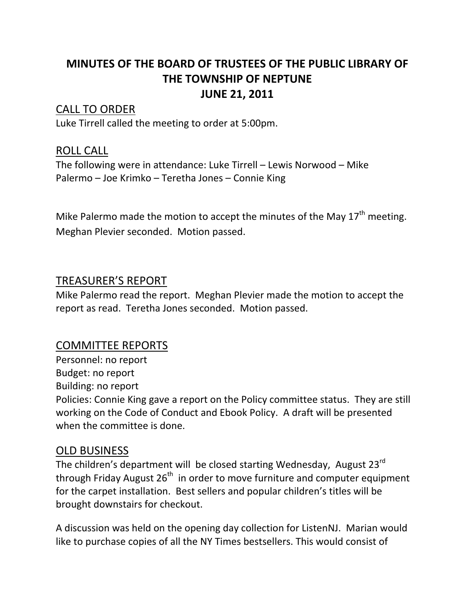# **MINUTES OF THE BOARD OF TRUSTEES OF THE PUBLIC LIBRARY OF THE TOWNSHIP OF NEPTUNE JUNE 21, 2011**

## CALL TO ORDER

Luke Tirrell called the meeting to order at 5:00pm.

### ROLL CALL

The following were in attendance: Luke Tirrell – Lewis Norwood – Mike Palermo – Joe Krimko – Teretha Jones – Connie King

Mike Palermo made the motion to accept the minutes of the May  $17<sup>th</sup>$  meeting. Meghan Plevier seconded. Motion passed.

### TREASURER'S REPORT

Mike Palermo read the report. Meghan Plevier made the motion to accept the report as read. Teretha Jones seconded. Motion passed.

# COMMITTEE REPORTS

Personnel: no report Budget: no report Building: no report Policies: Connie King gave a report on the Policy committee status. They are still working on the Code of Conduct and Ebook Policy. A draft will be presented when the committee is done.

#### OLD BUSINESS

The children's department will be closed starting Wednesday, August 23<sup>rd</sup> through Friday August  $26<sup>th</sup>$  in order to move furniture and computer equipment for the carpet installation. Best sellers and popular children's titles will be brought downstairs for checkout.

A discussion was held on the opening day collection for ListenNJ. Marian would like to purchase copies of all the NY Times bestsellers. This would consist of